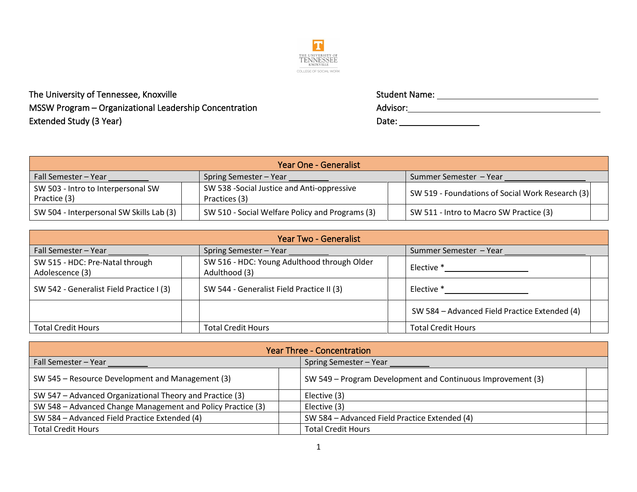

The University of Tennessee, Knoxville  $MSSW$  Program – Organizational Leadership Concentration Extended Study (3 Year)

| <b>Student Name:</b> |  |  |
|----------------------|--|--|
| Advisor:             |  |  |
| Date:                |  |  |

| Year One - Generalist                              |  |                                                              |  |                                                  |
|----------------------------------------------------|--|--------------------------------------------------------------|--|--------------------------------------------------|
| Fall Semester - Year<br>Spring Semester - Year     |  | Summer Semester - Year                                       |  |                                                  |
| SW 503 - Intro to Interpersonal SW<br>Practice (3) |  | SW 538 - Social Justice and Anti-oppressive<br>Practices (3) |  | SW 519 - Foundations of Social Work Research (3) |
| SW 504 - Interpersonal SW Skills Lab (3)           |  | SW 510 - Social Welfare Policy and Programs (3)              |  | SW 511 - Intro to Macro SW Practice (3)          |

| <b>Year Two - Generalist</b>                       |                                                              |                        |                                               |  |
|----------------------------------------------------|--------------------------------------------------------------|------------------------|-----------------------------------------------|--|
| Fall Semester - Year<br>Spring Semester - Year     |                                                              | Summer Semester - Year |                                               |  |
| SW 515 - HDC: Pre-Natal through<br>Adolescence (3) | SW 516 - HDC: Young Adulthood through Older<br>Adulthood (3) |                        | Elective *                                    |  |
| SW 542 - Generalist Field Practice I (3)           | SW 544 - Generalist Field Practice II (3)                    |                        | Elective *                                    |  |
|                                                    |                                                              |                        | SW 584 - Advanced Field Practice Extended (4) |  |
| <b>Total Credit Hours</b>                          | <b>Total Credit Hours</b>                                    |                        | <b>Total Credit Hours</b>                     |  |

| <b>Year Three - Concentration</b>                           |                                                             |  |  |  |
|-------------------------------------------------------------|-------------------------------------------------------------|--|--|--|
| Fall Semester - Year                                        | Spring Semester - Year                                      |  |  |  |
| SW 545 - Resource Development and Management (3)            | SW 549 – Program Development and Continuous Improvement (3) |  |  |  |
| SW 547 – Advanced Organizational Theory and Practice (3)    | Elective (3)                                                |  |  |  |
| SW 548 - Advanced Change Management and Policy Practice (3) | Elective (3)                                                |  |  |  |
| SW 584 - Advanced Field Practice Extended (4)               | SW 584 - Advanced Field Practice Extended (4)               |  |  |  |
| <b>Total Credit Hours</b>                                   | <b>Total Credit Hours</b>                                   |  |  |  |